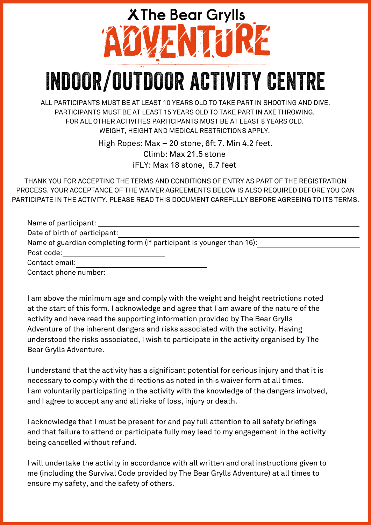## **XThe Bear Grylls** VENTURE **INDOOR/OUTDOOR ACTIVITY CENTRE**

ALL PARTICIPANTS MUST BE AT LEAST 10 YEARS OLD TO TAKE PART IN SHOOTING AND DIVE. PARTICIPANTS MUST BE AT LEAST 15 YEARS OLD TO TAKE PART IN AXE THROWING. FOR ALL OTHER ACTIVITIES PARTICIPANTS MUST BE AT LEAST 8 YEARS OLD. WEIGHT, HEIGHT AND MEDICAL RESTRICTIONS APPLY.

> High Ropes: Max – 20 stone, 6ft 7. Min 4.2 feet. Climb: Max 21.5 stone iFLY: Max 18 stone, 6.7 feet

THANK YOU FOR ACCEPTING THE TERMS AND CONDITIONS OF ENTRY AS PART OF THE REGISTRATION PROCESS. YOUR ACCEPTANCE OF THE WAIVER AGREEMENTS BELOW IS ALSO REQUIRED BEFORE YOU CAN PARTICIPATE IN THE ACTIVITY. PLEASE READ THIS DOCUMENT CAREFULLY BEFORE AGREEING TO ITS TERMS.

| Name of participant:                                                  |
|-----------------------------------------------------------------------|
| Date of birth of participant:                                         |
| Name of guardian completing form (if participant is younger than 16): |
| Post code:                                                            |
| Contact email:                                                        |
| Contact phone number:                                                 |

I am above the minimum age and comply with the weight and height restrictions noted at the start of this form. I acknowledge and agree that I am aware of the nature of the activity and have read the supporting information provided by The Bear Grylls Adventure of the inherent dangers and risks associated with the activity. Having understood the risks associated, I wish to participate in the activity organised by The Bear Grylls Adventure.

I understand that the activity has a significant potential for serious injury and that it is necessary to comply with the directions as noted in this waiver form at all times. I am voluntarily participating in the activity with the knowledge of the dangers involved, and I agree to accept any and all risks of loss, injury or death.

I acknowledge that I must be present for and pay full attention to all safety briefings and that failure to attend or participate fully may lead to my engagement in the activity being cancelled without refund.

I will undertake the activity in accordance with all written and oral instructions given to me (including the Survival Code provided by The Bear Grylls Adventure) at all times to ensure my safety, and the safety of others.